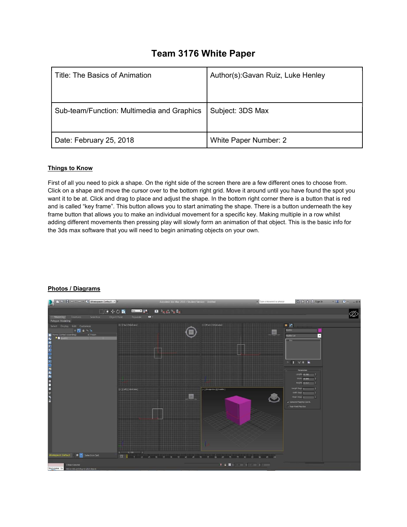## Team 3176 White Paper

| Title: The Basics of Animation             | Author(s): Gavan Ruiz, Luke Henley |
|--------------------------------------------|------------------------------------|
| Sub-team/Function: Multimedia and Graphics | Subject: 3DS Max                   |
| Date: February 25, 2018                    | White Paper Number: 2              |

## Things to Know

First of all you need to pick a shape. On the right side of the screen there are a few different ones to choose from. Click on a shape and move the cursor over to the bottom right grid. Move it around until you have found the spot you want it to be at. Click and drag to place and adjust the shape. In the bottom right corner there is a button that is red and is called "key frame". This button allows you to start animating the shape. There is a button underneath the key frame button that allows you to make an individual movement for a specific key. Making multiple in a row whilst adding different movements then pressing play will slowly form an animation of that object. This is the basic info for the 3ds max software that you will need to begin animating objects on your own.



## Photos / Diagrams